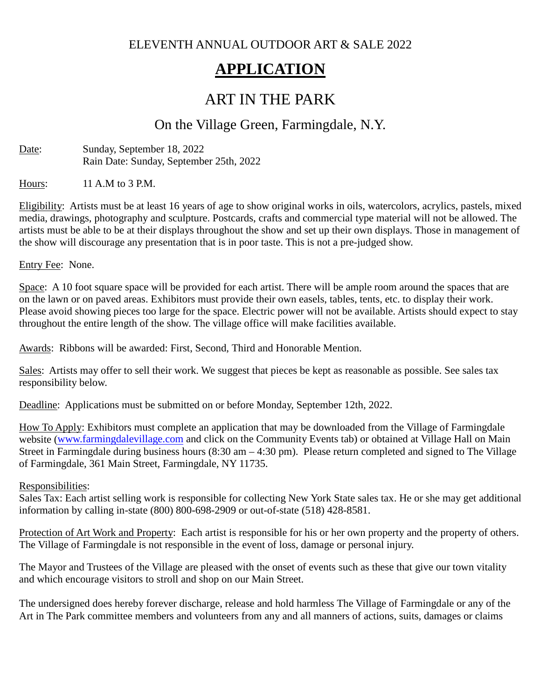ELEVENTH ANNUAL OUTDOOR ART & SALE 2022

# **APPLICATION**

## ART IN THE PARK

### On the Village Green, Farmingdale, N.Y.

Date: Sunday, September 18, 2022 Rain Date: Sunday, September 25th, 2022

Hours: 11 A.M to 3 P.M.

Eligibility: Artists must be at least 16 years of age to show original works in oils, watercolors, acrylics, pastels, mixed media, drawings, photography and sculpture. Postcards, crafts and commercial type material will not be allowed. The artists must be able to be at their displays throughout the show and set up their own displays. Those in management of the show will discourage any presentation that is in poor taste. This is not a pre-judged show.

Entry Fee: None.

Space: A 10 foot square space will be provided for each artist. There will be ample room around the spaces that are on the lawn or on paved areas. Exhibitors must provide their own easels, tables, tents, etc. to display their work. Please avoid showing pieces too large for the space. Electric power will not be available. Artists should expect to stay throughout the entire length of the show. The village office will make facilities available.

Awards: Ribbons will be awarded: First, Second, Third and Honorable Mention.

Sales: Artists may offer to sell their work. We suggest that pieces be kept as reasonable as possible. See sales tax responsibility below.

Deadline: Applications must be submitted on or before Monday, September 12th, 2022.

How To Apply: Exhibitors must complete an application that may be downloaded from the Village of Farmingdale website [\(www.farmingdalevillage.com](http://www.farmingdalevillage.com/) and click on the Community Events tab) or obtained at Village Hall on Main Street in Farmingdale during business hours (8:30 am – 4:30 pm). Please return completed and signed to The Village of Farmingdale, 361 Main Street, Farmingdale, NY 11735.

#### Responsibilities:

Sales Tax: Each artist selling work is responsible for collecting New York State sales tax. He or she may get additional information by calling in-state (800) 800-698-2909 or out-of-state (518) 428-8581.

Protection of Art Work and Property: Each artist is responsible for his or her own property and the property of others. The Village of Farmingdale is not responsible in the event of loss, damage or personal injury.

The Mayor and Trustees of the Village are pleased with the onset of events such as these that give our town vitality and which encourage visitors to stroll and shop on our Main Street.

The undersigned does hereby forever discharge, release and hold harmless The Village of Farmingdale or any of the Art in The Park committee members and volunteers from any and all manners of actions, suits, damages or claims